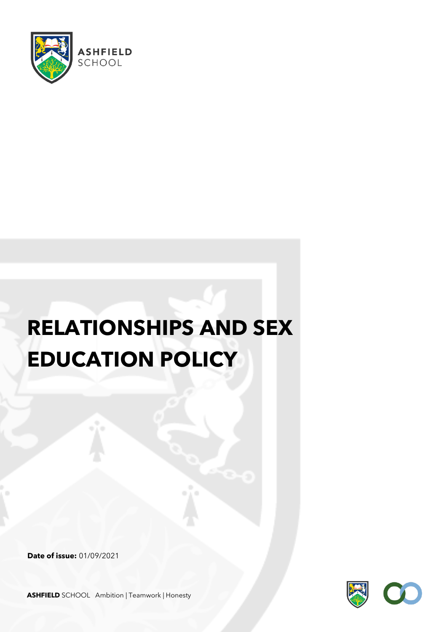

# **RELATIONSHIPS AND SEX EDUCATION POLICY**

**Date of issue:** 01/09/2021



**ASHFIELD** SCHOOL Ambition | Teamwork | Honesty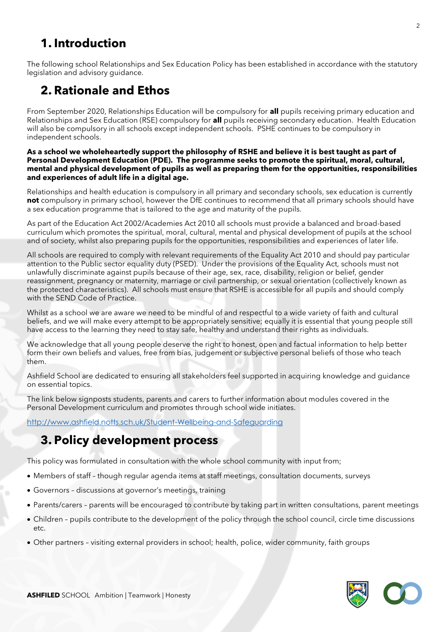# **1. Introduction**

The following school Relationships and Sex Education Policy has been established in accordance with the statutory legislation and advisory guidance.

# **2. Rationale and Ethos**

From September 2020, Relationships Education will be compulsory for **all** pupils receiving primary education and Relationships and Sex Education (RSE) compulsory for **all** pupils receiving secondary education. Health Education will also be compulsory in all schools except independent schools. PSHE continues to be compulsory in independent schools.

#### **As a school we wholeheartedly support the philosophy of RSHE and believe it is best taught as part of Personal Development Education (PDE). The programme seeks to promote the spiritual, moral, cultural, mental and physical development of pupils as well as preparing them for the opportunities, responsibilities and experiences of adult life in a digital age.**

Relationships and health education is compulsory in all primary and secondary schools, sex education is currently **not** compulsory in primary school, however the DfE continues to recommend that all primary schools should have a sex education programme that is tailored to the age and maturity of the pupils.

As part of the Education Act 2002/Academies Act 2010 all schools must provide a balanced and broad-based curriculum which promotes the spiritual, moral, cultural, mental and physical development of pupils at the school and of society, whilst also preparing pupils for the opportunities, responsibilities and experiences of later life.

All schools are required to comply with relevant requirements of the Equality Act 2010 and should pay particular attention to the Public sector equality duty (PSED). Under the provisions of the Equality Act, schools must not unlawfully discriminate against pupils because of their age, sex, race, disability, religion or belief, gender reassignment, pregnancy or maternity, marriage or civil partnership, or sexual orientation (collectively known as the protected characteristics). All schools must ensure that RSHE is accessible for all pupils and should comply with the SEND Code of Practice.

Whilst as a school we are aware we need to be mindful of and respectful to a wide variety of faith and cultural beliefs, and we will make every attempt to be appropriately sensitive; equally it is essential that young people still have access to the learning they need to stay safe, healthy and understand their rights as individuals.

We acknowledge that all young people deserve the right to honest, open and factual information to help better form their own beliefs and values, free from bias, judgement or subjective personal beliefs of those who teach them.

Ashfield School are dedicated to ensuring all stakeholders feel supported in acquiring knowledge and guidance on essential topics.

The link below signposts students, parents and carers to further information about modules covered in the Personal Development curriculum and promotes through school wide initiates.

<http://www.ashfield.notts.sch.uk/Student-Wellbeing-and-Safeguarding>

# **3. Policy development process**

This policy was formulated in consultation with the whole school community with input from;

- Members of staff though regular agenda items at staff meetings, consultation documents, surveys
- Governors discussions at governor's meetings, training
- Parents/carers parents will be encouraged to contribute by taking part in written consultations, parent meetings
- Children pupils contribute to the development of the policy through the school council, circle time discussions etc.
- Other partners visiting external providers in school; health, police, wider community, faith groups

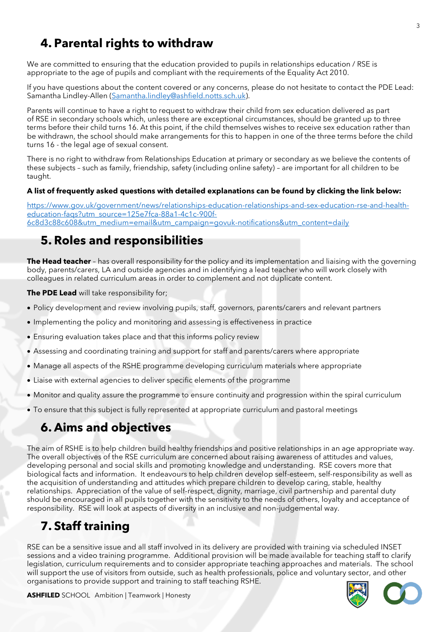# **4. Parental rights to withdraw**

We are committed to ensuring that the education provided to pupils in relationships education / RSE is appropriate to the age of pupils and compliant with the requirements of the Equality Act 2010.

If you have questions about the content covered or any concerns, please do not hesitate to contact the PDE Lead: Samantha Lindley-Allen [\(Samantha.lindley@ashfield.notts.sch.uk\)](mailto:Samantha.lindley@ashfield.notts.sch.uk).

Parents will continue to have a right to request to withdraw their child from sex education delivered as part of RSE in secondary schools which, unless there are exceptional circumstances, should be granted up to three terms before their child turns 16. At this point, if the child themselves wishes to receive sex education rather than be withdrawn, the school should make arrangements for this to happen in one of the three terms before the child turns 16 - the legal age of sexual consent.

There is no right to withdraw from Relationships Education at primary or secondary as we believe the contents of these subjects – such as family, friendship, safety (including online safety) – are important for all children to be taught.

#### **A list of frequently asked questions with detailed explanations can be found by clicking the link below:**

[https://www.gov.uk/government/news/relationships-education-relationships-and-sex-education-rse-and-health](https://www.gov.uk/government/news/relationships-education-relationships-and-sex-education-rse-and-health-education-faqs?utm_source=125e7fca-88a1-4c1c-900f-6c8d3c88c608&utm_medium=email&utm_campaign=govuk-notifications&utm_content=daily)[education-faqs?utm\\_source=125e7fca-88a1-4c1c-900f-](https://www.gov.uk/government/news/relationships-education-relationships-and-sex-education-rse-and-health-education-faqs?utm_source=125e7fca-88a1-4c1c-900f-6c8d3c88c608&utm_medium=email&utm_campaign=govuk-notifications&utm_content=daily)[6c8d3c88c608&utm\\_medium=email&utm\\_campaign=govuk-notifications&utm\\_content=daily](https://www.gov.uk/government/news/relationships-education-relationships-and-sex-education-rse-and-health-education-faqs?utm_source=125e7fca-88a1-4c1c-900f-6c8d3c88c608&utm_medium=email&utm_campaign=govuk-notifications&utm_content=daily)

### **5. Roles and responsibilities**

**The Head teacher** – has overall responsibility for the policy and its implementation and liaising with the governing body, parents/carers, LA and outside agencies and in identifying a lead teacher who will work closely with colleagues in related curriculum areas in order to complement and not duplicate content.

**The PDE Lead** will take responsibility for;

- Policy development and review involving pupils, staff, governors, parents/carers and relevant partners
- Implementing the policy and monitoring and assessing is effectiveness in practice
- Ensuring evaluation takes place and that this informs policy review
- Assessing and coordinating training and support for staff and parents/carers where appropriate
- Manage all aspects of the RSHE programme developing curriculum materials where appropriate
- Liaise with external agencies to deliver specific elements of the programme
- Monitor and quality assure the programme to ensure continuity and progression within the spiral curriculum
- To ensure that this subject is fully represented at appropriate curriculum and pastoral meetings

# **6. Aims and objectives**

The aim of RSHE is to help children build healthy friendships and positive relationships in an age appropriate way. The overall objectives of the RSE curriculum are concerned about raising awareness of attitudes and values, developing personal and social skills and promoting knowledge and understanding. RSE covers more that biological facts and information. It endeavours to help children develop self-esteem, self-responsibility as well as the acquisition of understanding and attitudes which prepare children to develop caring, stable, healthy relationships. Appreciation of the value of self-respect, dignity, marriage, civil partnership and parental duty should be encouraged in all pupils together with the sensitivity to the needs of others, loyalty and acceptance of responsibility. RSE will look at aspects of diversity in an inclusive and non-judgemental way.

# **7. Staff training**

RSE can be a sensitive issue and all staff involved in its delivery are provided with training via scheduled INSET sessions and a video training programme. Additional provision will be made available for teaching staff to clarify legislation, curriculum requirements and to consider appropriate teaching approaches and materials. The school will support the use of visitors from outside, such as health professionals, police and voluntary sector, and other organisations to provide support and training to staff teaching RSHE.

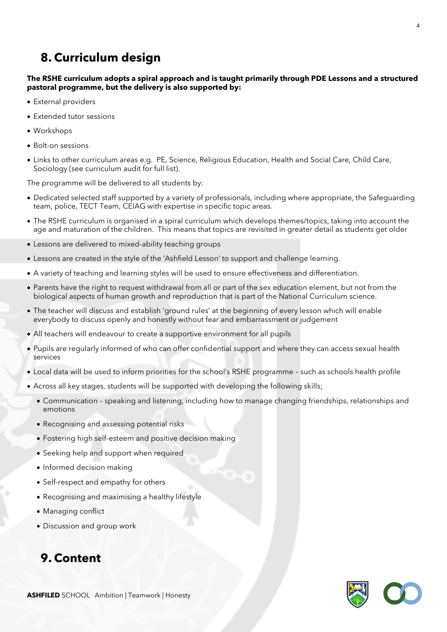# **8. Curriculum design**

#### **The RSHE curriculum adopts a spiral approach and is taught primarily through PDE Lessons and a structured pastoral programme, but the delivery is also supported by:**

- External providers
- Extended tutor sessions
- Workshops
- Bolt-on sessions
- Links to other curriculum areas e.g. PE, Science, Religious Education, Health and Social Care, Child Care, Sociology (see curriculum audit for full list).

The programme will be delivered to all students by:

- Dedicated selected staff supported by a variety of professionals, including where appropriate, the Safeguarding team, police, TECT Team, CEIAG with expertise in specific topic areas.
- The RSHE curriculum is organised in a spiral curriculum which develops themes/topics, taking into account the age and maturation of the children. This means that topics are revisited in greater detail as students get older
- Lessons are delivered to mixed-ability teaching groups
- Lessons are created in the style of the 'Ashfield Lesson' to support and challenge learning.
- A variety of teaching and learning styles will be used to ensure effectiveness and differentiation.
- Parents have the right to request withdrawal from all or part of the sex education element, but not from the biological aspects of human growth and reproduction that is part of the National Curriculum science.
- The teacher will discuss and establish 'ground rules' at the beginning of every lesson which will enable everybody to discuss openly and honestly without fear and embarrassment or judgement
- All teachers will endeavour to create a supportive environment for all pupils
- Pupils are regularly informed of who can offer confidential support and where they can access sexual health services
- Local data will be used to inform priorities for the school's RSHE programme such as schools health profile
- Across all key stages, students will be supported with developing the following skills;
	- Communication speaking and listening, including how to manage changing friendships, relationships and emotions
	- Recognising and assessing potential risks
	- Fostering high self-esteem and positive decision making
	- Seeking help and support when required
	- Informed decision making
	- Self-respect and empathy for others
	- Recognising and maximising a healthy lifestyle
	- Managing conflict
	- Discussion and group work

### **9. Content**

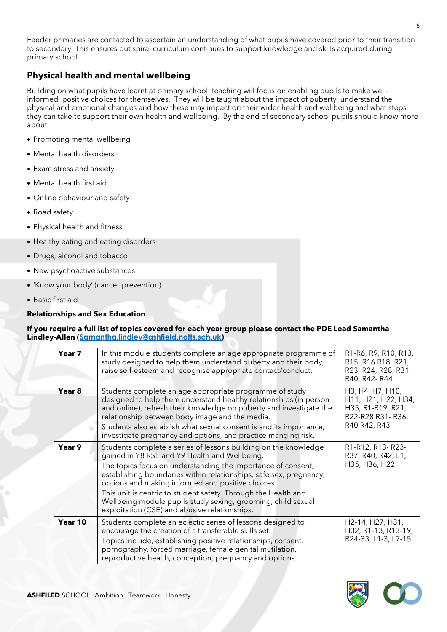Feeder primaries are contacted to ascertain an understanding of what pupils have covered prior to their transition to secondary. This ensures out spiral curriculum continues to support knowledge and skills acquired during primary school.

#### **Physical health and mental wellbeing**

Building on what pupils have learnt at primary school, teaching will focus on enabling pupils to make wellinformed, positive choices for themselves. They will be taught about the impact of puberty, understand the physical and emotional changes and how these may impact on their wider health and wellbeing and what steps they can take to support their own health and wellbeing. By the end of secondary school pupils should know more about

- Promoting mental wellbeing
- Mental health disorders
- Exam stress and anxiety
- Mental health first aid
- Online behaviour and safety
- Road safety
- Physical health and fitness
- Healthy eating and eating disorders
- Drugs, alcohol and tobacco
- New psychoactive substances
- 'Know your body' (cancer prevention)
- Basic first aid

#### **Relationships and Sex Education**

#### **If you require a full list of topics covered for each year group please contact the PDE Lead Samantha Lindley-Allen ([Samantha.lindley@ashfield.notts.sch.uk](mailto:Samantha.lindley@ashfield.notts.sch.uk))**

| Year 7  | In this module students complete an age appropriate programme of<br>study designed to help them understand puberty and their body,<br>raise self-esteem and recognise appropriate contact/conduct.                                                                                                                                                                                                                                                                                             | R1-R6, R9, R10, R13,<br>R15, R16 R18, R21,<br>R23, R24, R28, R31,<br>R40, R42-R44                |
|---------|------------------------------------------------------------------------------------------------------------------------------------------------------------------------------------------------------------------------------------------------------------------------------------------------------------------------------------------------------------------------------------------------------------------------------------------------------------------------------------------------|--------------------------------------------------------------------------------------------------|
| Year 8  | Students complete an age appropriate programme of study<br>designed to help them understand healthy relationships (in person<br>and online), refresh their knowledge on puberty and investigate the<br>relationship between body image and the media.<br>Students also establish what sexual consent is and its importance,<br>investigate pregnancy and options, and practice manging risk.                                                                                                   | H3, H4, H7, H10,<br>H11, H21, H22, H34,<br>H35, R1-R19, R21,<br>R22-R28 R31-R36,<br>R40 R42, R43 |
| Year 9  | Students complete a series of lessons building on the knowledge<br>gained in Y8 RSE and Y9 Health and Wellbeing.<br>The topics focus on understanding the importance of consent,<br>establishing boundaries within relationships, safe sex, pregnancy,<br>options and making informed and positive choices.<br>This unit is centric to student safety. Through the Health and<br>Wellbeing module pupils study sexing, grooming, child sexual<br>exploitation (CSE) and abusive relationships. | R1-R12, R13-R23-<br>R37, R40, R42, L1,<br>H35, H36, H22                                          |
| Year 10 | Students complete an eclectic series of lessons designed to<br>encourage the creation of a transferable skills set.<br>Topics include, establishing positive relationships, consent,<br>pornography, forced marriage, female genital mutilation,<br>reproductive health, conception, pregnancy and options.                                                                                                                                                                                    | H2-14, H27, H31,<br>H32, R1-13, R13-19,<br>R24-33, L1-3, L7-15.                                  |

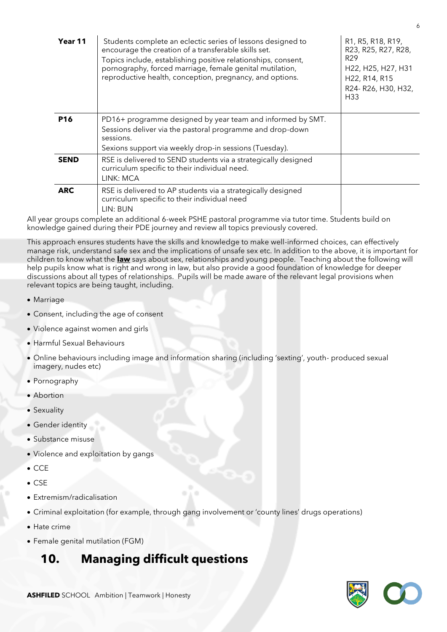| Year 11         | Students complete an eclectic series of lessons designed to<br>encourage the creation of a transferable skills set.<br>Topics include, establishing positive relationships, consent,<br>pornography, forced marriage, female genital mutilation,<br>reproductive health, conception, pregnancy, and options. | R1, R5, R18, R19,<br>R23, R25, R27, R28,<br>R <sub>29</sub><br>H22, H25, H27, H31<br>H22, R14, R15<br>R24- R26, H30, H32,<br>H33 |
|-----------------|--------------------------------------------------------------------------------------------------------------------------------------------------------------------------------------------------------------------------------------------------------------------------------------------------------------|----------------------------------------------------------------------------------------------------------------------------------|
| P <sub>16</sub> | PD16+ programme designed by year team and informed by SMT.<br>Sessions deliver via the pastoral programme and drop-down<br>sessions.<br>Sexions support via weekly drop-in sessions (Tuesday).                                                                                                               |                                                                                                                                  |
| <b>SEND</b>     | RSE is delivered to SEND students via a strategically designed<br>curriculum specific to their individual need.<br>LINK: MCA                                                                                                                                                                                 |                                                                                                                                  |
| <b>ARC</b>      | RSE is delivered to AP students via a strategically designed<br>curriculum specific to their individual need<br>LIN: BUN                                                                                                                                                                                     |                                                                                                                                  |

All year groups complete an additional 6-week PSHE pastoral programme via tutor time. Students build on knowledge gained during their PDE journey and review all topics previously covered.

This approach ensures students have the skills and knowledge to make well-informed choices, can effectively manage risk, understand safe sex and the implications of unsafe sex etc. In addition to the above, it is important for children to know what the **law** says about sex, relationships and young people. Teaching about the following will help pupils know what is right and wrong in law, but also provide a good foundation of knowledge for deeper discussions about all types of relationships. Pupils will be made aware of the relevant legal provisions when relevant topics are being taught, including.

- Marriage
- Consent, including the age of consent
- Violence against women and girls
- Harmful Sexual Behaviours
- Online behaviours including image and information sharing (including 'sexting', youth- produced sexual imagery, nudes etc)
- Pornography
- Abortion
- Sexuality
- Gender identity
- Substance misuse
- Violence and exploitation by gangs
- CCE
- CSE
- Extremism/radicalisation
- Criminal exploitation (for example, through gang involvement or 'county lines' drugs operations)
- Hate crime
- Female genital mutilation (FGM)

### **10. Managing difficult questions**

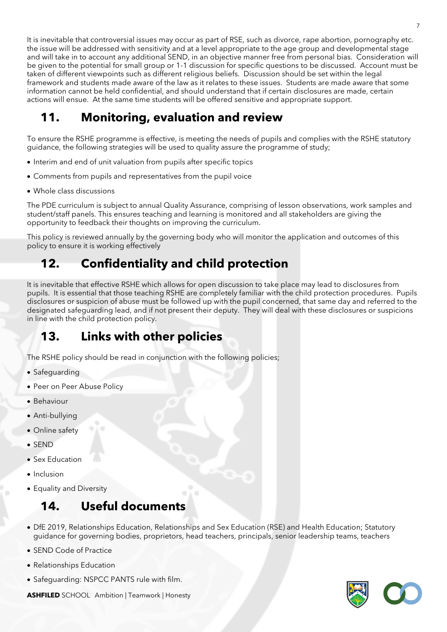It is inevitable that controversial issues may occur as part of RSE, such as divorce, rape abortion, pornography etc. the issue will be addressed with sensitivity and at a level appropriate to the age group and developmental stage and will take in to account any additional SEND, in an objective manner free from personal bias. Consideration will be given to the potential for small group or 1-1 discussion for specific questions to be discussed. Account must be taken of different viewpoints such as different religious beliefs. Discussion should be set within the legal framework and students made aware of the law as it relates to these issues. Students are made aware that some information cannot be held confidential, and should understand that if certain disclosures are made, certain actions will ensue. At the same time students will be offered sensitive and appropriate support.

# **11. Monitoring, evaluation and review**

To ensure the RSHE programme is effective, is meeting the needs of pupils and complies with the RSHE statutory guidance, the following strategies will be used to quality assure the programme of study;

- Interim and end of unit valuation from pupils after specific topics
- Comments from pupils and representatives from the pupil voice
- Whole class discussions

The PDE curriculum is subject to annual Quality Assurance, comprising of lesson observations, work samples and student/staff panels. This ensures teaching and learning is monitored and all stakeholders are giving the opportunity to feedback their thoughts on improving the curriculum.

This policy is reviewed annually by the governing body who will monitor the application and outcomes of this policy to ensure it is working effectively

# **12. Confidentiality and child protection**

It is inevitable that effective RSHE which allows for open discussion to take place may lead to disclosures from pupils. It is essential that those teaching RSHE are completely familiar with the child protection procedures. Pupils disclosures or suspicion of abuse must be followed up with the pupil concerned, that same day and referred to the designated safeguarding lead, and if not present their deputy. They will deal with these disclosures or suspicions in line with the child protection policy.

### **13. Links with other policies**

The RSHE policy should be read in conjunction with the following policies;

- Safeguarding
- Peer on Peer Abuse Policy
- Behaviour
- Anti-bullying
- Online safety
- SEND
- Sex Education
- Inclusion
- Equality and Diversity

### **14. Useful documents**

- DfE 2019, Relationships Education, Relationships and Sex Education (RSE) and Health Education; Statutory guidance for governing bodies, proprietors, head teachers, principals, senior leadership teams, teachers
- SEND Code of Practice
- Relationships Education
- Safeguarding: NSPCC PANTS rule with film.

**ASHFILED** SCHOOL Ambition | Teamwork | Honesty